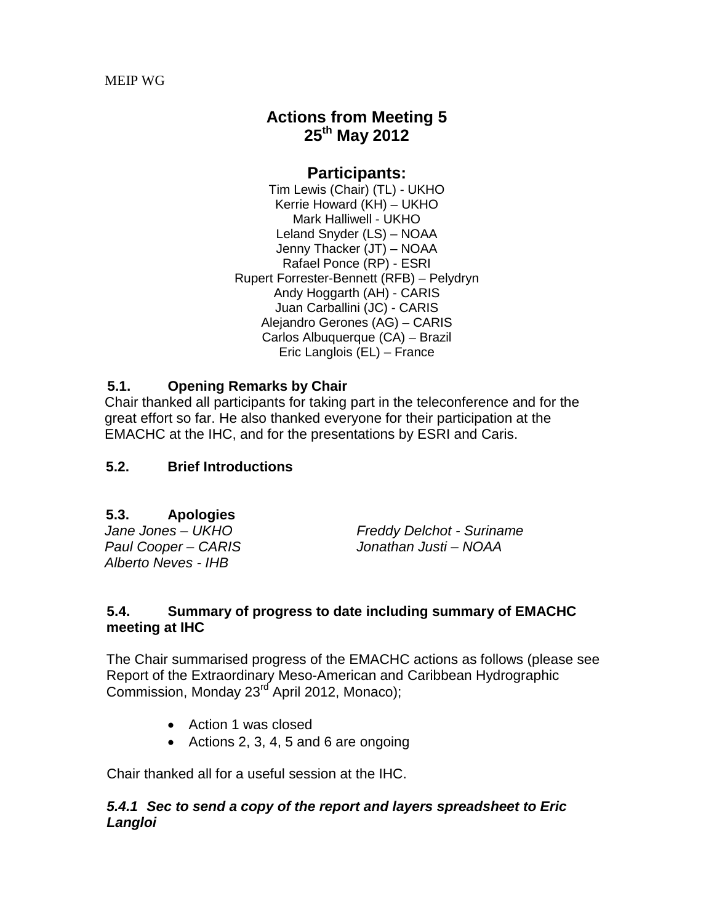# **Actions from Meeting 5 25th May 2012**

### **Participants:**

Tim Lewis (Chair) (TL) - UKHO Kerrie Howard (KH) – UKHO Mark Halliwell - UKHO Leland Snyder (LS) – NOAA Jenny Thacker (JT) – NOAA Rafael Ponce (RP) - ESRI Rupert Forrester-Bennett (RFB) – Pelydryn Andy Hoggarth (AH) - CARIS Juan Carballini (JC) - CARIS Alejandro Gerones (AG) – CARIS Carlos Albuquerque (CA) – Brazil Eric Langlois (EL) – France

# **5.1. Opening Remarks by Chair**

Chair thanked all participants for taking part in the teleconference and for the great effort so far. He also thanked everyone for their participation at the EMACHC at the IHC, and for the presentations by ESRI and Caris.

# **5.2. Brief Introductions**

# **5.3. Apologies**

*Alberto Neves - IHB*

*Jane Jones – UKHO Freddy Delchot - Suriname Paul Cooper – CARIS Jonathan Justi – NOAA*

### **5.4. Summary of progress to date including summary of EMACHC meeting at IHC**

The Chair summarised progress of the EMACHC actions as follows (please see Report of the Extraordinary Meso-American and Caribbean Hydrographic Commission, Monday 23<sup>rd</sup> April 2012, Monaco);

- Action 1 was closed
- Actions 2, 3, 4, 5 and 6 are ongoing

Chair thanked all for a useful session at the IHC.

### *5.4.1 Sec to send a copy of the report and layers spreadsheet to Eric Langloi*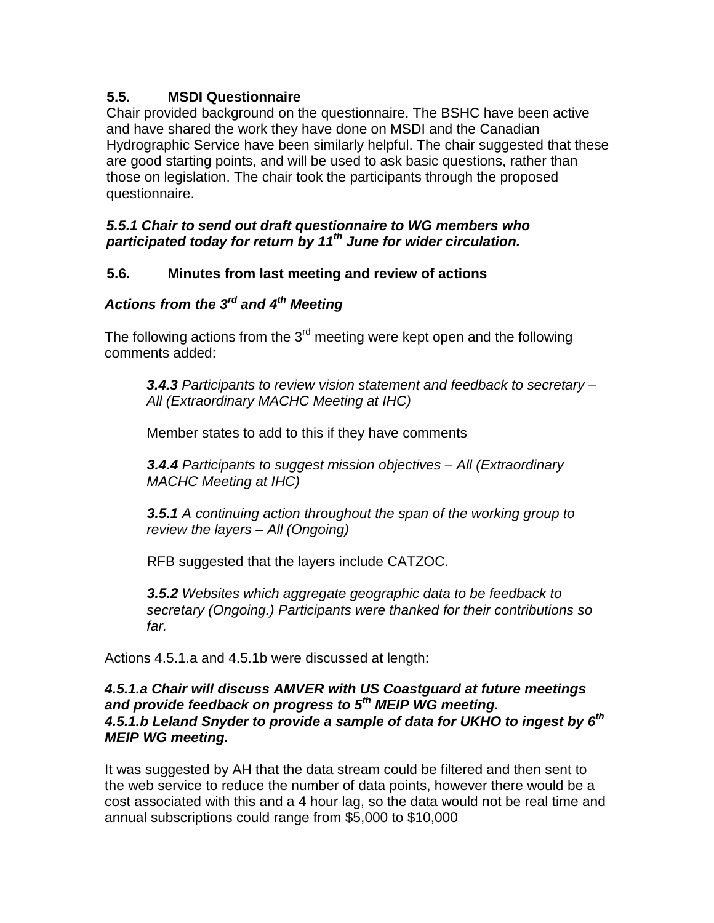# **5.5. MSDI Questionnaire**

Chair provided background on the questionnaire. The BSHC have been active and have shared the work they have done on MSDI and the Canadian Hydrographic Service have been similarly helpful. The chair suggested that these are good starting points, and will be used to ask basic questions, rather than those on legislation. The chair took the participants through the proposed questionnaire.

### *5.5.1 Chair to send out draft questionnaire to WG members who participated today for return by 11th June for wider circulation.*

# **5.6. Minutes from last meeting and review of actions**

# *Actions from the 3rd and 4th Meeting*

The following actions from the  $3<sup>rd</sup>$  meeting were kept open and the following comments added:

*3.4.3 Participants to review vision statement and feedback to secretary – All (Extraordinary MACHC Meeting at IHC)*

Member states to add to this if they have comments

*3.4.4 Participants to suggest mission objectives – All (Extraordinary MACHC Meeting at IHC)*

*3.5.1 A continuing action throughout the span of the working group to review the layers – All (Ongoing)*

RFB suggested that the layers include CATZOC.

*3.5.2 Websites which aggregate geographic data to be feedback to secretary (Ongoing.) Participants were thanked for their contributions so far.*

Actions 4.5.1.a and 4.5.1b were discussed at length:

### *4.5.1.a Chair will discuss AMVER with US Coastguard at future meetings and provide feedback on progress to 5th MEIP WG meeting. 4.5.1.b Leland Snyder to provide a sample of data for UKHO to ingest by 6th MEIP WG meeting.*

It was suggested by AH that the data stream could be filtered and then sent to the web service to reduce the number of data points, however there would be a cost associated with this and a 4 hour lag, so the data would not be real time and annual subscriptions could range from \$5,000 to \$10,000